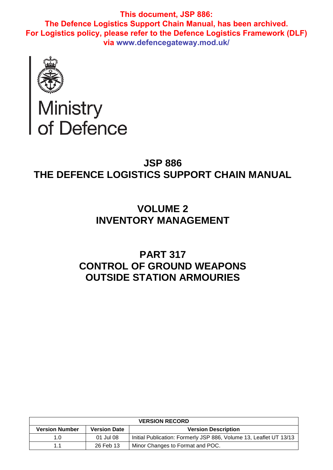

# Ministry<br>of Defence

# **JSP 886 THE DEFENCE LOGISTICS SUPPORT CHAIN MANUAL**

# **VOLUME 2 INVENTORY MANAGEMENT**

# **PART 317 CONTROL OF GROUND WEAPONS OUTSIDE STATION ARMOURIES**

| <b>VERSION RECORD</b> |                     |                                                                    |  |
|-----------------------|---------------------|--------------------------------------------------------------------|--|
| <b>Version Number</b> | <b>Version Date</b> | <b>Version Description</b>                                         |  |
| 1. $\Omega$           | 01 Jul 08           | Initial Publication: Formerly JSP 886, Volume 13, Leaflet UT 13/13 |  |
| 11                    | 26 Feb 13           | Minor Changes to Format and POC.                                   |  |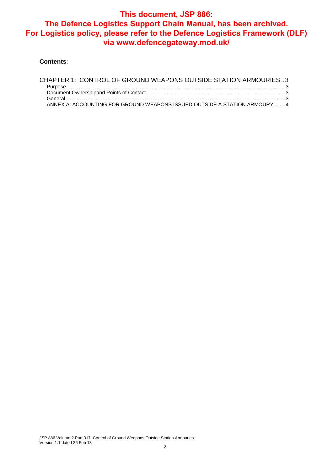#### **Contents**:

| CHAPTER 1: CONTROL OF GROUND WEAPONS OUTSIDE STATION ARMOURIES3           |  |
|---------------------------------------------------------------------------|--|
|                                                                           |  |
|                                                                           |  |
|                                                                           |  |
| ANNEX A: ACCOUNTING FOR GROUND WEAPONS ISSUED OUTSIDE A STATION ARMOURY 4 |  |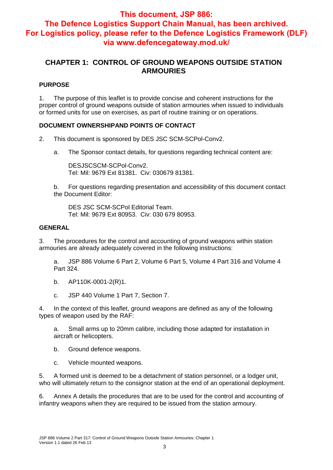### **CHAPTER 1: CONTROL OF GROUND WEAPONS OUTSIDE STATION ARMOURIES**

#### **PURPOSE**

1. The purpose of this leaflet is to provide concise and coherent instructions for the proper control of ground weapons outside of station armouries when issued to individuals or formed units for use on exercises, as part of routine training or on operations.

#### **DOCUMENT OWNERSHIPAND POINTS OF CONTACT**

- 2. This document is sponsored by DES JSC SCM-SCPol-Conv2.
	- a. The Sponsor contact details, for questions regarding technical content are:

DESJSCSCM-SCPol-Conv2. Tel: Mil: 9679 Ext 81381. Civ: 030679 81381.

b. For questions regarding presentation and accessibility of this document contact the Document Editor:

DES JSC SCM-SCPol Editorial Team. Tel: Mil: 9679 Ext 80953. Civ: 030 679 80953.

#### **GENERAL**

3. The procedures for the control and accounting of ground weapons within station armouries are already adequately covered in the following instructions:

a. JSP 886 Volume 6 Part 2, Volume 6 Part 5, Volume 4 Part 316 and Volume 4 Part 324.

- b. AP110K-0001-2(R)1.
- c. JSP 440 Volume 1 Part 7, Section 7.

4. In the context of this leaflet, ground weapons are defined as any of the following types of weapon used by the RAF:

a. Small arms up to 20mm calibre, including those adapted for installation in aircraft or helicopters.

- b. Ground defence weapons.
- c. Vehicle mounted weapons.

5. A formed unit is deemed to be a detachment of station personnel, or a lodger unit, who will ultimately return to the consignor station at the end of an operational deployment.

6. Annex A details the procedures that are to be used for the control and accounting of infantry weapons when they are required to be issued from the station armoury.